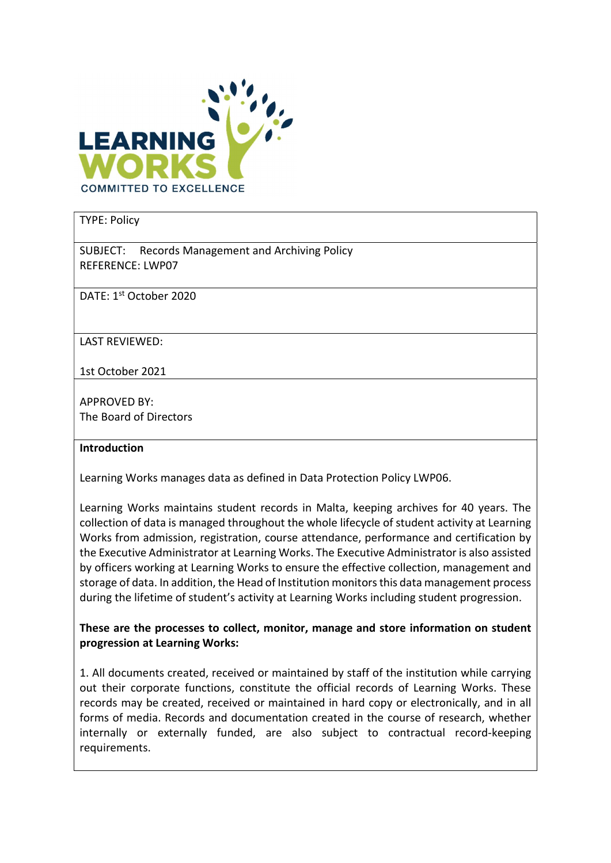

#### TYPE: Policy

SUBJECT: Records Management and Archiving Policy REFERENCE: LWP07

DATE: 1st October 2020

LAST REVIEWED:

1st October 2021

APPROVED BY: The Board of Directors

#### Introduction

Learning Works manages data as defined in Data Protection Policy LWP06.

Learning Works maintains student records in Malta, keeping archives for 40 years. The collection of data is managed throughout the whole lifecycle of student activity at Learning Works from admission, registration, course attendance, performance and certification by the Executive Administrator at Learning Works. The Executive Administrator is also assisted by officers working at Learning Works to ensure the effective collection, management and storage of data. In addition, the Head of Institution monitors this data management process during the lifetime of student's activity at Learning Works including student progression.

These are the processes to collect, monitor, manage and store information on student progression at Learning Works:

1. All documents created, received or maintained by staff of the institution while carrying out their corporate functions, constitute the official records of Learning Works. These records may be created, received or maintained in hard copy or electronically, and in all forms of media. Records and documentation created in the course of research, whether internally or externally funded, are also subject to contractual record-keeping requirements.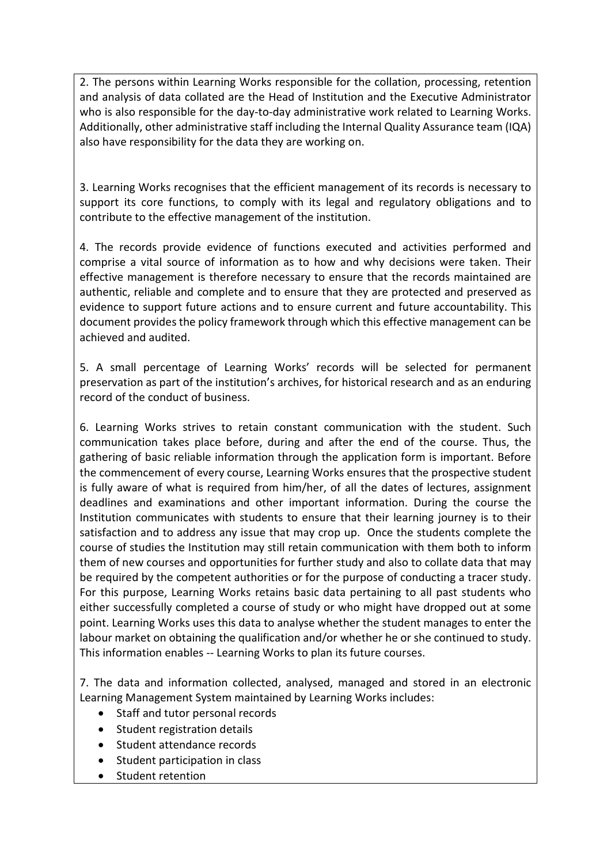2. The persons within Learning Works responsible for the collation, processing, retention and analysis of data collated are the Head of Institution and the Executive Administrator who is also responsible for the day-to-day administrative work related to Learning Works. Additionally, other administrative staff including the Internal Quality Assurance team (IQA) also have responsibility for the data they are working on.

3. Learning Works recognises that the efficient management of its records is necessary to support its core functions, to comply with its legal and regulatory obligations and to contribute to the effective management of the institution.

4. The records provide evidence of functions executed and activities performed and comprise a vital source of information as to how and why decisions were taken. Their effective management is therefore necessary to ensure that the records maintained are authentic, reliable and complete and to ensure that they are protected and preserved as evidence to support future actions and to ensure current and future accountability. This document provides the policy framework through which this effective management can be achieved and audited.

5. A small percentage of Learning Works' records will be selected for permanent preservation as part of the institution's archives, for historical research and as an enduring record of the conduct of business.

6. Learning Works strives to retain constant communication with the student. Such communication takes place before, during and after the end of the course. Thus, the gathering of basic reliable information through the application form is important. Before the commencement of every course, Learning Works ensures that the prospective student is fully aware of what is required from him/her, of all the dates of lectures, assignment deadlines and examinations and other important information. During the course the Institution communicates with students to ensure that their learning journey is to their satisfaction and to address any issue that may crop up. Once the students complete the course of studies the Institution may still retain communication with them both to inform them of new courses and opportunities for further study and also to collate data that may be required by the competent authorities or for the purpose of conducting a tracer study. For this purpose, Learning Works retains basic data pertaining to all past students who either successfully completed a course of study or who might have dropped out at some point. Learning Works uses this data to analyse whether the student manages to enter the labour market on obtaining the qualification and/or whether he or she continued to study. This information enables -- Learning Works to plan its future courses.

7. The data and information collected, analysed, managed and stored in an electronic Learning Management System maintained by Learning Works includes:

- Staff and tutor personal records
- Student registration details
- Student attendance records
- Student participation in class
- Student retention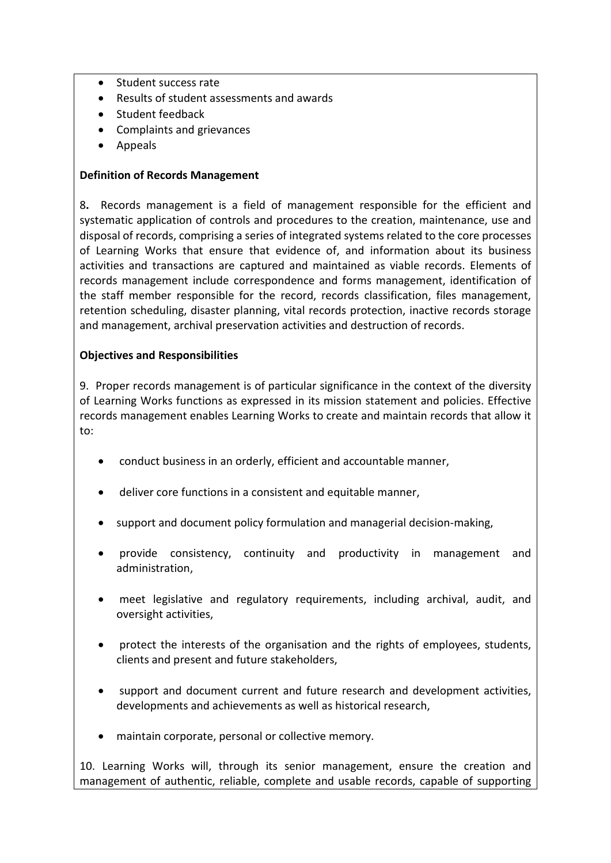- Student success rate
- Results of student assessments and awards
- Student feedback
- Complaints and grievances
- Appeals

#### Definition of Records Management

8. Records management is a field of management responsible for the efficient and systematic application of controls and procedures to the creation, maintenance, use and disposal of records, comprising a series of integrated systems related to the core processes of Learning Works that ensure that evidence of, and information about its business activities and transactions are captured and maintained as viable records. Elements of records management include correspondence and forms management, identification of the staff member responsible for the record, records classification, files management, retention scheduling, disaster planning, vital records protection, inactive records storage and management, archival preservation activities and destruction of records.

#### Objectives and Responsibilities

9. Proper records management is of particular significance in the context of the diversity of Learning Works functions as expressed in its mission statement and policies. Effective records management enables Learning Works to create and maintain records that allow it to:

- conduct business in an orderly, efficient and accountable manner,
- deliver core functions in a consistent and equitable manner,
- support and document policy formulation and managerial decision-making,
- provide consistency, continuity and productivity in management and administration,
- meet legislative and regulatory requirements, including archival, audit, and oversight activities,
- protect the interests of the organisation and the rights of employees, students, clients and present and future stakeholders,
- support and document current and future research and development activities, developments and achievements as well as historical research,
- maintain corporate, personal or collective memory.

10. Learning Works will, through its senior management, ensure the creation and management of authentic, reliable, complete and usable records, capable of supporting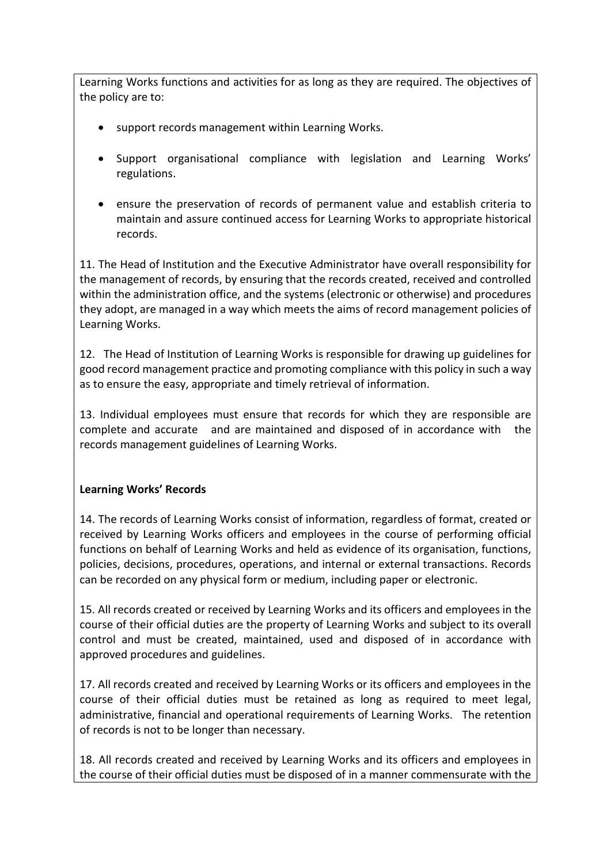Learning Works functions and activities for as long as they are required. The objectives of the policy are to:

- support records management within Learning Works.
- Support organisational compliance with legislation and Learning Works' regulations.
- ensure the preservation of records of permanent value and establish criteria to maintain and assure continued access for Learning Works to appropriate historical records.

11. The Head of Institution and the Executive Administrator have overall responsibility for the management of records, by ensuring that the records created, received and controlled within the administration office, and the systems (electronic or otherwise) and procedures they adopt, are managed in a way which meets the aims of record management policies of Learning Works.

12. The Head of Institution of Learning Works is responsible for drawing up guidelines for good record management practice and promoting compliance with this policy in such a way as to ensure the easy, appropriate and timely retrieval of information.

13. Individual employees must ensure that records for which they are responsible are complete and accurate and are maintained and disposed of in accordance with the records management guidelines of Learning Works.

# Learning Works' Records

14. The records of Learning Works consist of information, regardless of format, created or received by Learning Works officers and employees in the course of performing official functions on behalf of Learning Works and held as evidence of its organisation, functions, policies, decisions, procedures, operations, and internal or external transactions. Records can be recorded on any physical form or medium, including paper or electronic.

15. All records created or received by Learning Works and its officers and employees in the course of their official duties are the property of Learning Works and subject to its overall control and must be created, maintained, used and disposed of in accordance with approved procedures and guidelines.

17. All records created and received by Learning Works or its officers and employees in the course of their official duties must be retained as long as required to meet legal, administrative, financial and operational requirements of Learning Works. The retention of records is not to be longer than necessary.

18. All records created and received by Learning Works and its officers and employees in the course of their official duties must be disposed of in a manner commensurate with the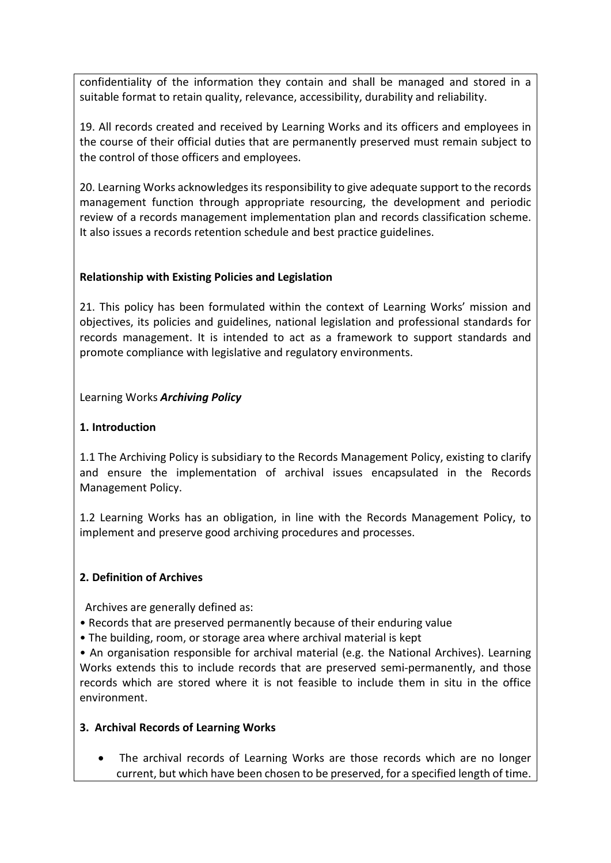confidentiality of the information they contain and shall be managed and stored in a suitable format to retain quality, relevance, accessibility, durability and reliability.

19. All records created and received by Learning Works and its officers and employees in the course of their official duties that are permanently preserved must remain subject to the control of those officers and employees.

20. Learning Works acknowledges its responsibility to give adequate support to the records management function through appropriate resourcing, the development and periodic review of a records management implementation plan and records classification scheme. It also issues a records retention schedule and best practice guidelines.

## Relationship with Existing Policies and Legislation

21. This policy has been formulated within the context of Learning Works' mission and objectives, its policies and guidelines, national legislation and professional standards for records management. It is intended to act as a framework to support standards and promote compliance with legislative and regulatory environments.

## Learning Works Archiving Policy

## 1. Introduction

1.1 The Archiving Policy is subsidiary to the Records Management Policy, existing to clarify and ensure the implementation of archival issues encapsulated in the Records Management Policy.

1.2 Learning Works has an obligation, in line with the Records Management Policy, to implement and preserve good archiving procedures and processes.

## 2. Definition of Archives

Archives are generally defined as:

- Records that are preserved permanently because of their enduring value
- The building, room, or storage area where archival material is kept

• An organisation responsible for archival material (e.g. the National Archives). Learning Works extends this to include records that are preserved semi-permanently, and those records which are stored where it is not feasible to include them in situ in the office environment.

## 3. Archival Records of Learning Works

• The archival records of Learning Works are those records which are no longer current, but which have been chosen to be preserved, for a specified length of time.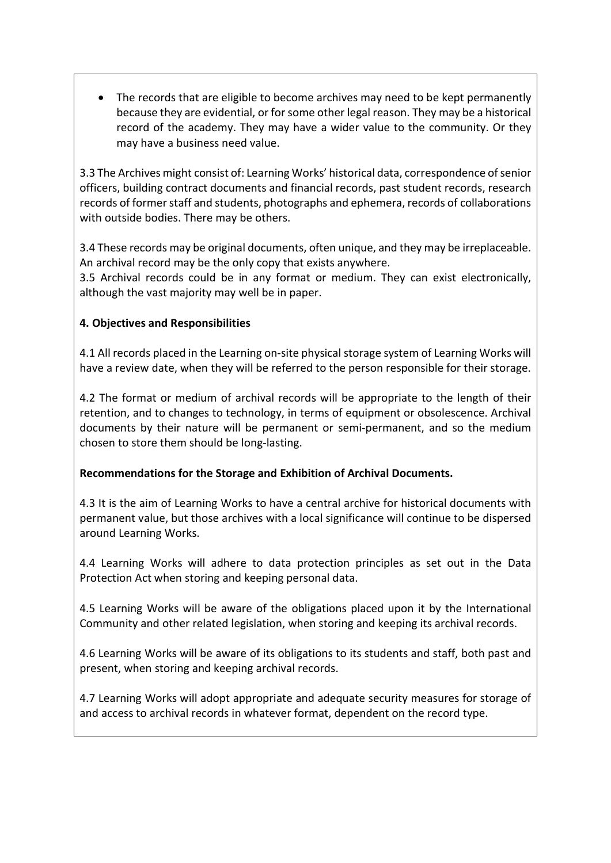The records that are eligible to become archives may need to be kept permanently because they are evidential, or for some other legal reason. They may be a historical record of the academy. They may have a wider value to the community. Or they may have a business need value.

3.3 The Archives might consist of: Learning Works' historical data, correspondence of senior officers, building contract documents and financial records, past student records, research records of former staff and students, photographs and ephemera, records of collaborations with outside bodies. There may be others.

3.4 These records may be original documents, often unique, and they may be irreplaceable. An archival record may be the only copy that exists anywhere.

3.5 Archival records could be in any format or medium. They can exist electronically, although the vast majority may well be in paper.

# 4. Objectives and Responsibilities

4.1 All records placed in the Learning on-site physical storage system of Learning Works will have a review date, when they will be referred to the person responsible for their storage.

4.2 The format or medium of archival records will be appropriate to the length of their retention, and to changes to technology, in terms of equipment or obsolescence. Archival documents by their nature will be permanent or semi-permanent, and so the medium chosen to store them should be long-lasting.

## Recommendations for the Storage and Exhibition of Archival Documents.

4.3 It is the aim of Learning Works to have a central archive for historical documents with permanent value, but those archives with a local significance will continue to be dispersed around Learning Works.

4.4 Learning Works will adhere to data protection principles as set out in the Data Protection Act when storing and keeping personal data.

4.5 Learning Works will be aware of the obligations placed upon it by the International Community and other related legislation, when storing and keeping its archival records.

4.6 Learning Works will be aware of its obligations to its students and staff, both past and present, when storing and keeping archival records.

4.7 Learning Works will adopt appropriate and adequate security measures for storage of and access to archival records in whatever format, dependent on the record type.